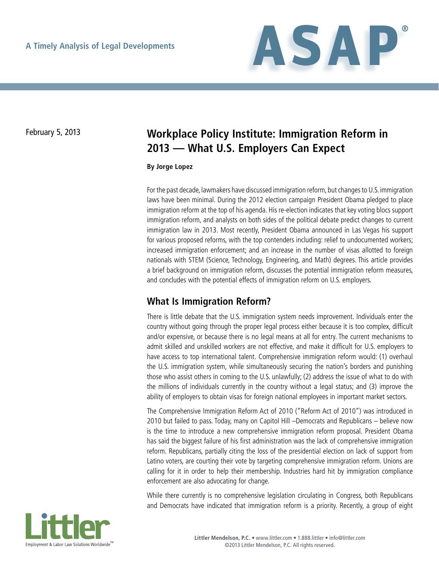

# February 5, 2013 **Workplace Policy Institute: Immigration Reform in 2013 — What U.S. Employers Can Expect**

#### **By Jorge Lopez**

For the past decade, lawmakers have discussed immigration reform, but changes to U.S. immigration laws have been minimal. During the 2012 election campaign President Obama pledged to place immigration reform at the top of his agenda. His re-election indicates that key voting blocs support immigration reform, and analysts on both sides of the political debate predict changes to current immigration law in 2013. Most recently, President Obama announced in Las Vegas his support for various proposed reforms, with the top contenders including: relief to undocumented workers; increased immigration enforcement; and an increase in the number of visas allotted to foreign nationals with STEM (Science, Technology, Engineering, and Math) degrees. This article provides a brief background on immigration reform, discusses the potential immigration reform measures, and concludes with the potential effects of immigration reform on U.S. employers.

### **What Is Immigration Reform?**

There is little debate that the U.S. immigration system needs improvement. Individuals enter the country without going through the proper legal process either because it is too complex, difficult and/or expensive, or because there is no legal means at all for entry. The current mechanisms to admit skilled and unskilled workers are not effective, and make it difficult for U.S. employers to have access to top international talent. Comprehensive immigration reform would: (1) overhaul the U.S. immigration system, while simultaneously securing the nation's borders and punishing those who assist others in coming to the U.S. unlawfully; (2) address the issue of what to do with the millions of individuals currently in the country without a legal status; and (3) improve the ability of employers to obtain visas for foreign national employees in important market sectors.

The Comprehensive Immigration Reform Act of 2010 ("Reform Act of 2010") was introduced in 2010 but failed to pass. Today, many on Capitol Hill –Democrats and Republicans – believe now is the time to introduce a new comprehensive immigration reform proposal. President Obama has said the biggest failure of his first administration was the lack of comprehensive immigration reform. Republicans, partially citing the loss of the presidential election on lack of support from Latino voters, are courting their vote by targeting comprehensive immigration reform. Unions are calling for it in order to help their membership. Industries hard hit by immigration compliance enforcement are also advocating for change.

While there currently is no comprehensive legislation circulating in Congress, both Republicans and Democrats have indicated that immigration reform is a priority. Recently, a group of eight

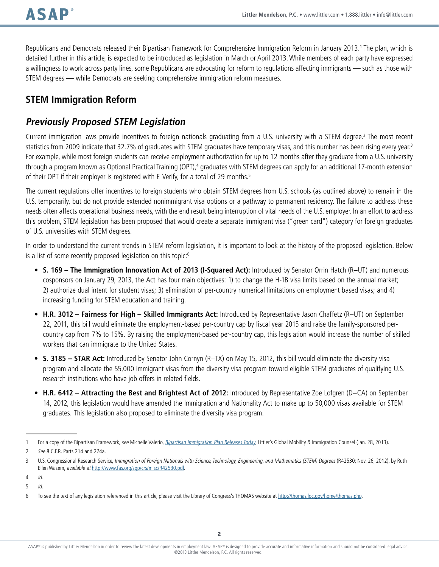Republicans and Democrats released their Bipartisan Framework for Comprehensive Immigration Reform in January 2013.<sup>1</sup> The plan, which is detailed further in this article, is expected to be introduced as legislation in March or April 2013. While members of each party have expressed a willingness to work across party lines, some Republicans are advocating for reform to regulations affecting immigrants — such as those with STEM degrees — while Democrats are seeking comprehensive immigration reform measures.

# **STEM Immigration Reform**

# **Previously Proposed STEM Legislation**

Current immigration laws provide incentives to foreign nationals graduating from a U.S. university with a STEM degree.<sup>2</sup> The most recent statistics from 2009 indicate that 32.7% of graduates with STEM graduates have temporary visas, and this number has been rising every year.<sup>3</sup> For example, while most foreign students can receive employment authorization for up to 12 months after they graduate from a U.S. university through a program known as Optional Practical Training (OPT),<sup>4</sup> graduates with STEM degrees can apply for an additional 17-month extension of their OPT if their employer is registered with E-Verify, for a total of 29 months.<sup>5</sup>

The current regulations offer incentives to foreign students who obtain STEM degrees from U.S. schools (as outlined above) to remain in the U.S. temporarily, but do not provide extended nonimmigrant visa options or a pathway to permanent residency. The failure to address these needs often affects operational business needs, with the end result being interruption of vital needs of the U.S. employer. In an effort to address this problem, STEM legislation has been proposed that would create a separate immigrant visa ("green card") category for foreign graduates of U.S. universities with STEM degrees.

In order to understand the current trends in STEM reform legislation, it is important to look at the history of the proposed legislation. Below is a list of some recently proposed legislation on this topic:<sup>6</sup>

- • **S. 169 The Immigration Innovation Act of 2013 (I-Squared Act):** Introduced by Senator Orrin Hatch (R–UT) and numerous cosponsors on January 29, 2013, the Act has four main objectives: 1) to change the H-1B visa limits based on the annual market; 2) authorize dual intent for student visas; 3) elimination of per-country numerical limitations on employment based visas; and 4) increasing funding for STEM education and training.
- • **H.R. 3012 Fairness for High Skilled Immigrants Act:** Introduced by Representative Jason Chaffetz (R–UT) on September 22, 2011, this bill would eliminate the employment-based per-country cap by fiscal year 2015 and raise the family-sponsored percountry cap from 7% to 15%. By raising the employment-based per-country cap, this legislation would increase the number of skilled workers that can immigrate to the United States.
- • **S. 3185 STAR Act:** Introduced by Senator John Cornyn (R–TX) on May 15, 2012, this bill would eliminate the diversity visa program and allocate the 55,000 immigrant visas from the diversity visa program toward eligible STEM graduates of qualifying U.S. research institutions who have job offers in related fields.
- • **H.R. 6412 Attracting the Best and Brightest Act of 2012:** Introduced by Representative Zoe Lofgren (D–CA) on September 14, 2012, this legislation would have amended the Immigration and Nationality Act to make up to 50,000 visas available for STEM graduates. This legislation also proposed to eliminate the diversity visa program.

<sup>1</sup> For a copy of the Bipartisan Framework, see Michelle Valerio, [Bipartisan Immigration Plan Releases Today](http://www.globalimmigrationcounsel.com/2013/01/articles/us-immigration/federal-legislation/bipartisan-immigration-plan-released-today/), Littler's Global Mobility & Immigration Counsel (Jan. 28, 2013).

<sup>2</sup> See 8 C.F.R. Parts 214 and 274a.

<sup>3</sup> U.S. Congressional Research Service, Immigration of Foreign Nationals with Science, Technology, Engineering, and Mathematics (STEM) Degrees (R42530; Nov. 26, 2012), by Ruth Ellen Wasem, available at <http://www.fas.org/sgp/crs/misc/R42530.pdf>.

<sup>4</sup> Id.

<sup>5</sup> Id.

<sup>6</sup> To see the text of any legislation referenced in this article, please visit the Library of Congress's THOMAS website at<http://thomas.loc.gov/home/thomas.php>.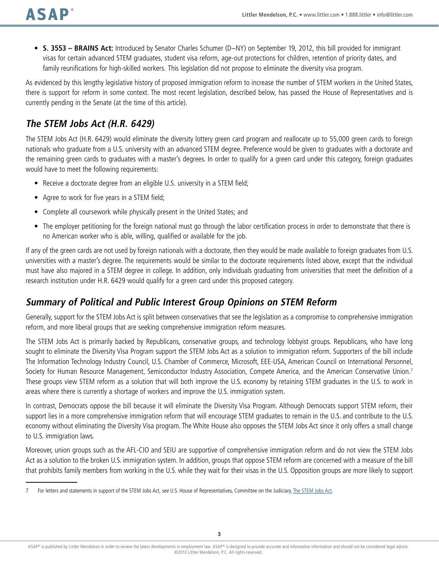• **S. 3553 – BRAINS Act:** Introduced by Senator Charles Schumer (D–NY) on September 19, 2012, this bill provided for immigrant visas for certain advanced STEM graduates, student visa reform, age-out protections for children, retention of priority dates, and family reunifications for high-skilled workers. This legislation did not propose to eliminate the diversity visa program.

As evidenced by this lengthy legislative history of proposed immigration reform to increase the number of STEM workers in the United States, there is support for reform in some context. The most recent legislation, described below, has passed the House of Representatives and is currently pending in the Senate (at the time of this article).

## **The STEM Jobs Act (H.R. 6429)**

The STEM Jobs Act (H.R. 6429) would eliminate the diversity lottery green card program and reallocate up to 55,000 green cards to foreign nationals who graduate from a U.S. university with an advanced STEM degree. Preference would be given to graduates with a doctorate and the remaining green cards to graduates with a master's degrees. In order to qualify for a green card under this category, foreign graduates would have to meet the following requirements:

- Receive a doctorate degree from an eligible U.S. university in a STEM field;
- Agree to work for five years in a STEM field;
- Complete all coursework while physically present in the United States; and
- The employer petitioning for the foreign national must go through the labor certification process in order to demonstrate that there is no American worker who is able, willing, qualified or available for the job.

If any of the green cards are not used by foreign nationals with a doctorate, then they would be made available to foreign graduates from U.S. universities with a master's degree. The requirements would be similar to the doctorate requirements listed above, except that the individual must have also majored in a STEM degree in college. In addition, only individuals graduating from universities that meet the definition of a research institution under H.R. 6429 would qualify for a green card under this proposed category.

### **Summary of Political and Public Interest Group Opinions on STEM Reform**

Generally, support for the STEM Jobs Act is split between conservatives that see the legislation as a compromise to comprehensive immigration reform, and more liberal groups that are seeking comprehensive immigration reform measures.

The STEM Jobs Act is primarily backed by Republicans, conservative groups, and technology lobbyist groups. Republicans, who have long sought to eliminate the Diversity Visa Program support the STEM Jobs Act as a solution to immigration reform. Supporters of the bill include The Information Technology Industry Council, U.S. Chamber of Commerce, Microsoft, EEE-USA, American Council on International Personnel, Society for Human Resource Management, Semiconductor Industry Association, Compete America, and the American Conservative Union.<sup>7</sup> These groups view STEM reform as a solution that will both improve the U.S. economy by retaining STEM graduates in the U.S. to work in areas where there is currently a shortage of workers and improve the U.S. immigration system.

In contrast, Democrats oppose the bill because it will eliminate the Diversity Visa Program. Although Democrats support STEM reform, their support lies in a more comprehensive immigration reform that will encourage STEM graduates to remain in the U.S. and contribute to the U.S. economy without eliminating the Diversity Visa program. The White House also opposes the STEM Jobs Act since it only offers a small change to U.S. immigration laws.

Moreover, union groups such as the AFL-CIO and SEIU are supportive of comprehensive immigration reform and do not view the STEM Jobs Act as a solution to the broken U.S. immigration system. In addition, groups that oppose STEM reform are concerned with a measure of the bill that prohibits family members from working in the U.S. while they wait for their visas in the U.S. Opposition groups are more likely to support

<sup>7</sup> For letters and statements in support of the STEM Jobs Act, see U.S. House of Representatives, Committee on the Judiciary, [The STEM Jobs Act.](http://judiciary.house.gov/issues/issues_STEM%20Jobs%20Act.html)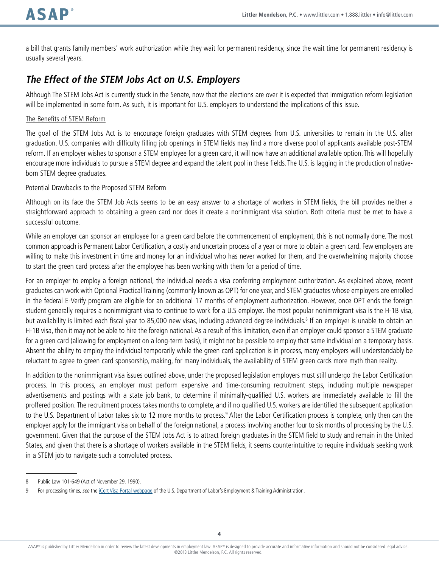a bill that grants family members' work authorization while they wait for permanent residency, since the wait time for permanent residency is usually several years.

## **The Effect of the STEM Jobs Act on U.S. Employers**

Although The STEM Jobs Act is currently stuck in the Senate, now that the elections are over it is expected that immigration reform legislation will be implemented in some form. As such, it is important for U.S. employers to understand the implications of this issue.

### The Benefits of STEM Reform

The goal of the STEM Jobs Act is to encourage foreign graduates with STEM degrees from U.S. universities to remain in the U.S. after graduation. U.S. companies with difficulty filling job openings in STEM fields may find a more diverse pool of applicants available post-STEM reform. If an employer wishes to sponsor a STEM employee for a green card, it will now have an additional available option. This will hopefully encourage more individuals to pursue a STEM degree and expand the talent pool in these fields. The U.S. is lagging in the production of nativeborn STEM degree graduates.

### Potential Drawbacks to the Proposed STEM Reform

Although on its face the STEM Job Acts seems to be an easy answer to a shortage of workers in STEM fields, the bill provides neither a straightforward approach to obtaining a green card nor does it create a nonimmigrant visa solution. Both criteria must be met to have a successful outcome.

While an employer can sponsor an employee for a green card before the commencement of employment, this is not normally done. The most common approach is Permanent Labor Certification, a costly and uncertain process of a year or more to obtain a green card. Few employers are willing to make this investment in time and money for an individual who has never worked for them, and the overwhelming majority choose to start the green card process after the employee has been working with them for a period of time.

For an employer to employ a foreign national, the individual needs a visa conferring employment authorization. As explained above, recent graduates can work with Optional Practical Training (commonly known as OPT) for one year, and STEM graduates whose employers are enrolled in the federal E-Verify program are eligible for an additional 17 months of employment authorization. However, once OPT ends the foreign student generally requires a nonimmigrant visa to continue to work for a U.S employer. The most popular nonimmigrant visa is the H-1B visa, but availability is limited each fiscal year to 85,000 new visas, including advanced degree individuals.<sup>8</sup> If an employer is unable to obtain an H-1B visa, then it may not be able to hire the foreign national. As a result of this limitation, even if an employer could sponsor a STEM graduate for a green card (allowing for employment on a long-term basis), it might not be possible to employ that same individual on a temporary basis. Absent the ability to employ the individual temporarily while the green card application is in process, many employers will understandably be reluctant to agree to green card sponsorship, making, for many individuals, the availability of STEM green cards more myth than reality.

In addition to the nonimmigrant visa issues outlined above, under the proposed legislation employers must still undergo the Labor Certification process. In this process, an employer must perform expensive and time-consuming recruitment steps, including multiple newspaper advertisements and postings with a state job bank, to determine if minimally-qualified U.S. workers are immediately available to fill the proffered position. The recruitment process takes months to complete, and if no qualified U.S. workers are identified the subsequent application to the U.S. Department of Labor takes six to 12 more months to process.<sup>9</sup> After the Labor Certification process is complete, only then can the employer apply for the immigrant visa on behalf of the foreign national, a process involving another four to six months of processing by the U.S. government. Given that the purpose of the STEM Jobs Act is to attract foreign graduates in the STEM field to study and remain in the United States, and given that there is a shortage of workers available in the STEM fields, it seems counterintuitive to require individuals seeking work in a STEM job to navigate such a convoluted process.

<sup>8</sup> Public Law 101-649 (Act of November 29, 1990).

<sup>9</sup> For processing times, see the *iCert Visa Portal webpage* of the U.S. Department of Labor's Employment & Training Administration.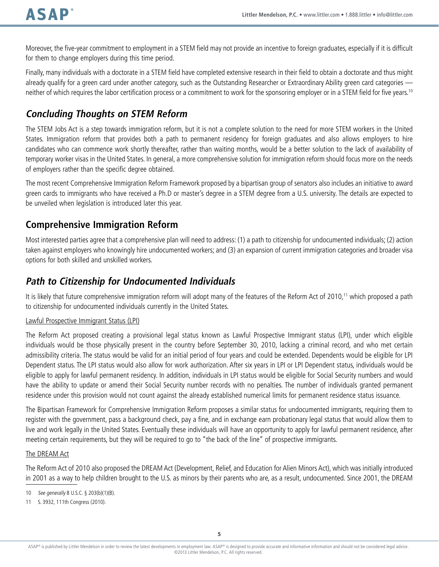Moreover, the five-year commitment to employment in a STEM field may not provide an incentive to foreign graduates, especially if it is difficult for them to change employers during this time period.

Finally, many individuals with a doctorate in a STEM field have completed extensive research in their field to obtain a doctorate and thus might already qualify for a green card under another category, such as the Outstanding Researcher or Extraordinary Ability green card categories neither of which requires the labor certification process or a commitment to work for the sponsoring employer or in a STEM field for five years.<sup>10</sup>

# **Concluding Thoughts on STEM Reform**

The STEM Jobs Act is a step towards immigration reform, but it is not a complete solution to the need for more STEM workers in the United States. Immigration reform that provides both a path to permanent residency for foreign graduates and also allows employers to hire candidates who can commence work shortly thereafter, rather than waiting months, would be a better solution to the lack of availability of temporary worker visas in the United States. In general, a more comprehensive solution for immigration reform should focus more on the needs of employers rather than the specific degree obtained.

The most recent Comprehensive Immigration Reform Framework proposed by a bipartisan group of senators also includes an initiative to award green cards to immigrants who have received a Ph.D or master's degree in a STEM degree from a U.S. university. The details are expected to be unveiled when legislation is introduced later this year.

## **Comprehensive Immigration Reform**

Most interested parties agree that a comprehensive plan will need to address: (1) a path to citizenship for undocumented individuals; (2) action taken against employers who knowingly hire undocumented workers; and (3) an expansion of current immigration categories and broader visa options for both skilled and unskilled workers.

## **Path to Citizenship for Undocumented Individuals**

It is likely that future comprehensive immigration reform will adopt many of the features of the Reform Act of 2010,<sup>11</sup> which proposed a path to citizenship for undocumented individuals currently in the United States.

### Lawful Prospective Immigrant Status (LPI)

The Reform Act proposed creating a provisional legal status known as Lawful Prospective Immigrant status (LPI), under which eligible individuals would be those physically present in the country before September 30, 2010, lacking a criminal record, and who met certain admissibility criteria. The status would be valid for an initial period of four years and could be extended. Dependents would be eligible for LPI Dependent status. The LPI status would also allow for work authorization. After six years in LPI or LPI Dependent status, individuals would be eligible to apply for lawful permanent residency. In addition, individuals in LPI status would be eligible for Social Security numbers and would have the ability to update or amend their Social Security number records with no penalties. The number of individuals granted permanent residence under this provision would not count against the already established numerical limits for permanent residence status issuance.

The Bipartisan Framework for Comprehensive Immigration Reform proposes a similar status for undocumented immigrants, requiring them to register with the government, pass a background check, pay a fine, and in exchange earn probationary legal status that would allow them to live and work legally in the United States. Eventually these individuals will have an opportunity to apply for lawful permanent residence, after meeting certain requirements, but they will be required to go to "the back of the line" of prospective immigrants.

### The DREAM Act

The Reform Act of 2010 also proposed the DREAM Act (Development, Relief, and Education for Alien Minors Act), which was initially introduced in 2001 as a way to help children brought to the U.S. as minors by their parents who are, as a result, undocumented. Since 2001, the DREAM

<sup>10</sup> See generally 8 U.S.C. § 203(b)(1)(B).

<sup>11</sup> S. 3932, 111th Congress (2010).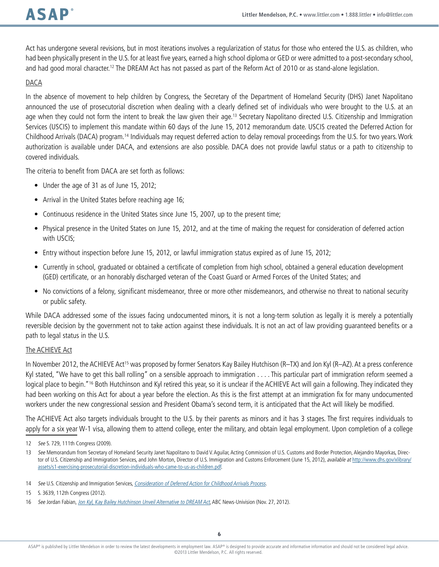Act has undergone several revisions, but in most iterations involves a regularization of status for those who entered the U.S. as children, who had been physically present in the U.S. for at least five years, earned a high school diploma or GED or were admitted to a post-secondary school, and had good moral character.<sup>12</sup> The DREAM Act has not passed as part of the Reform Act of 2010 or as stand-alone legislation.

### DACA

In the absence of movement to help children by Congress, the Secretary of the Department of Homeland Security (DHS) Janet Napolitano announced the use of prosecutorial discretion when dealing with a clearly defined set of individuals who were brought to the U.S. at an age when they could not form the intent to break the law given their age.<sup>13</sup> Secretary Napolitano directed U.S. Citizenship and Immigration Services (USCIS) to implement this mandate within 60 days of the June 15, 2012 memorandum date. USCIS created the Deferred Action for Childhood Arrivals (DACA) program.14 Individuals may request deferred action to delay removal proceedings from the U.S. for two years. Work authorization is available under DACA, and extensions are also possible. DACA does not provide lawful status or a path to citizenship to covered individuals.

The criteria to benefit from DACA are set forth as follows:

- Under the age of 31 as of June 15, 2012;
- Arrival in the United States before reaching age 16;
- Continuous residence in the United States since June 15, 2007, up to the present time;
- Physical presence in the United States on June 15, 2012, and at the time of making the request for consideration of deferred action with USCIS;
- Entry without inspection before June 15, 2012, or lawful immigration status expired as of June 15, 2012;
- • Currently in school, graduated or obtained a certificate of completion from high school, obtained a general education development (GED) certificate, or an honorably discharged veteran of the Coast Guard or Armed Forces of the United States; and
- No convictions of a felony, significant misdemeanor, three or more other misdemeanors, and otherwise no threat to national security or public safety.

While DACA addressed some of the issues facing undocumented minors, it is not a long-term solution as legally it is merely a potentially reversible decision by the government not to take action against these individuals. It is not an act of law providing guaranteed benefits or a path to legal status in the U.S.

#### The ACHIEVE Act

In November 2012, the ACHIEVE Act15 was proposed by former Senators Kay Bailey Hutchison (R–TX) and Jon Kyl (R–AZ). At a press conference Kyl stated, "We have to get this ball rolling" on a sensible approach to immigration . . . . This particular part of immigration reform seemed a logical place to begin."<sup>16</sup> Both Hutchinson and Kyl retired this year, so it is unclear if the ACHIEVE Act will gain a following. They indicated they had been working on this Act for about a year before the election. As this is the first attempt at an immigration fix for many undocumented workers under the new congressional session and President Obama's second term, it is anticipated that the Act will likely be modified.

The ACHIEVE Act also targets individuals brought to the U.S. by their parents as minors and it has 3 stages. The first requires individuals to apply for a six year W-1 visa, allowing them to attend college, enter the military, and obtain legal employment. Upon completion of a college

<sup>12</sup> See S. 729, 111th Congress (2009).

<sup>13</sup> See Memorandum from Secretary of Homeland Security Janet Napolitano to David V. Aguilar, Acting Commission of U.S. Customs and Border Protection, Alejandro Mayorkas, Director of U.S. Citizenship and Immigration Services, and John Morton, Director of U.S. Immigration and Customs Enforcement (June 15, 2012), available at [http://www.dhs.gov/xlibrary/](http://www.dhs.gov/xlibrary/assets/s1-exercising-prosecutorial-discretion-individuals-who-came-to-us-as-children.pdf) [assets/s1-exercising-prosecutorial-discretion-individuals-who-came-to-us-as-children.pdf](http://www.dhs.gov/xlibrary/assets/s1-exercising-prosecutorial-discretion-individuals-who-came-to-us-as-children.pdf).

<sup>14</sup> See U.S. Citizenship and Immigration Services, [Consideration of Deferred Action for Childhood Arrivals Process](http://www.uscis.gov/portal/site/uscis/menuitem.eb1d4c2a3e5b9ac89243c6a7543f6d1a/?vgnextoid=f2ef2f19470f7310VgnVCM100000082ca60aRCRD&vgnextchannel=f2ef2f19470f7310VgnVCM100000082ca60aRCRD.).

<sup>15</sup> S. 3639, 112th Congress (2012).

<sup>16</sup> See Jordan Fabian, [Jon Kyl, Kay Bailey Hutchinson Unveil Alternative to DREAM Act](http://abcnews.go.com/ABC_Univision/Politics/republican-senators-introduce-alternative-dream-act-bill/story?id=17820394), ABC News-Univision (Nov. 27, 2012).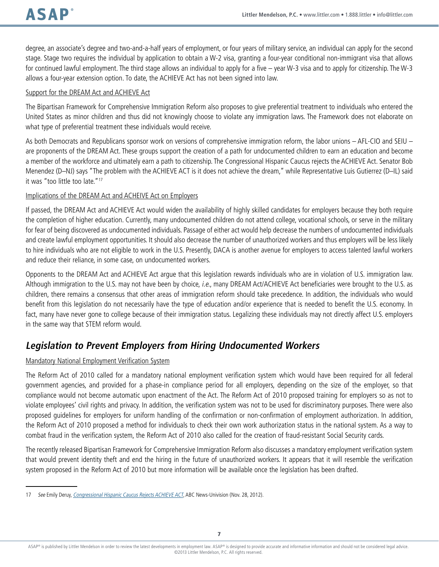degree, an associate's degree and two-and-a-half years of employment, or four years of military service, an individual can apply for the second stage. Stage two requires the individual by application to obtain a W-2 visa, granting a four-year conditional non-immigrant visa that allows for continued lawful employment. The third stage allows an individual to apply for a five – year W-3 visa and to apply for citizenship. The W-3 allows a four-year extension option. To date, the ACHIEVE Act has not been signed into law.

### Support for the DREAM Act and ACHIEVE Act

The Bipartisan Framework for Comprehensive Immigration Reform also proposes to give preferential treatment to individuals who entered the United States as minor children and thus did not knowingly choose to violate any immigration laws. The Framework does not elaborate on what type of preferential treatment these individuals would receive.

As both Democrats and Republicans sponsor work on versions of comprehensive immigration reform, the labor unions – AFL-CIO and SEIU – are proponents of the DREAM Act. These groups support the creation of a path for undocumented children to earn an education and become a member of the workforce and ultimately earn a path to citizenship. The Congressional Hispanic Caucus rejects the ACHIEVE Act. Senator Bob Menendez (D–NJ) says "The problem with the ACHIEVE ACT is it does not achieve the dream," while Representative Luis Gutierrez (D–IL) said it was "too little too late."17

#### Implications of the DREAM Act and ACHEIVE Act on Employers

If passed, the DREAM Act and ACHIEVE Act would widen the availability of highly skilled candidates for employers because they both require the completion of higher education. Currently, many undocumented children do not attend college, vocational schools, or serve in the military for fear of being discovered as undocumented individuals. Passage of either act would help decrease the numbers of undocumented individuals and create lawful employment opportunities. It should also decrease the number of unauthorized workers and thus employers will be less likely to hire individuals who are not eligible to work in the U.S. Presently, DACA is another avenue for employers to access talented lawful workers and reduce their reliance, in some case, on undocumented workers.

Opponents to the DREAM Act and ACHIEVE Act argue that this legislation rewards individuals who are in violation of U.S. immigration law. Although immigration to the U.S. may not have been by choice, i.e., many DREAM Act/ACHIEVE Act beneficiaries were brought to the U.S. as children, there remains a consensus that other areas of immigration reform should take precedence. In addition, the individuals who would benefit from this legislation do not necessarily have the type of education and/or experience that is needed to benefit the U.S. economy. In fact, many have never gone to college because of their immigration status. Legalizing these individuals may not directly affect U.S. employers in the same way that STEM reform would.

### **Legislation to Prevent Employers from Hiring Undocumented Workers**

### Mandatory National Employment Verification System

The Reform Act of 2010 called for a mandatory national employment verification system which would have been required for all federal government agencies, and provided for a phase-in compliance period for all employers, depending on the size of the employer, so that compliance would not become automatic upon enactment of the Act. The Reform Act of 2010 proposed training for employers so as not to violate employees' civil rights and privacy. In addition, the verification system was not to be used for discriminatory purposes. There were also proposed guidelines for employers for uniform handling of the confirmation or non-confirmation of employment authorization. In addition, the Reform Act of 2010 proposed a method for individuals to check their own work authorization status in the national system. As a way to combat fraud in the verification system, the Reform Act of 2010 also called for the creation of fraud-resistant Social Security cards.

The recently released Bipartisan Framework for Comprehensive Immigration Reform also discusses a mandatory employment verification system that would prevent identity theft and end the hiring in the future of unauthorized workers. It appears that it will resemble the verification system proposed in the Reform Act of 2010 but more information will be available once the legislation has been drafted.

<sup>17</sup> See Emily Deruy, [Congressional Hispanic Caucus Rejects ACHIEVE ACT](http://abcnews.go.com/ABC_Univision/Politics/congressional-hispanic-caucus-rejects-achieve-act/story?id=17828997), ABC News-Univision (Nov. 28, 2012).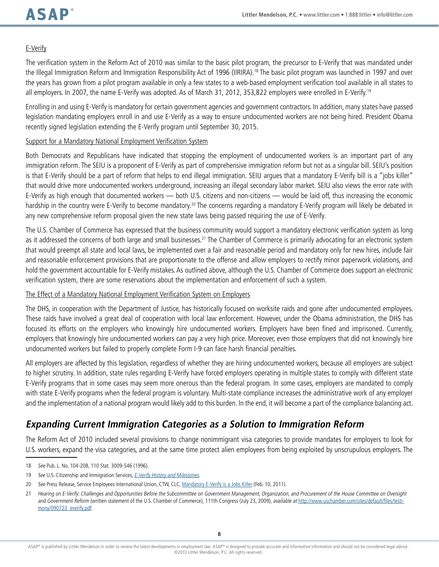### E-Verify

The verification system in the Reform Act of 2010 was similar to the basic pilot program, the precursor to E-Verify that was mandated under the Illegal Immigration Reform and Immigration Responsibility Act of 1996 (IIRIRA).18 The basic pilot program was launched in 1997 and over the years has grown from a pilot program available in only a few states to a web-based employment verification tool available in all states to all employers. In 2007, the name E-Verify was adopted. As of March 31, 2012, 353,822 employers were enrolled in E-Verify.19

Enrolling in and using E-Verify is mandatory for certain government agencies and government contractors. In addition, many states have passed legislation mandating employers enroll in and use E-Verify as a way to ensure undocumented workers are not being hired. President Obama recently signed legislation extending the E-Verify program until September 30, 2015.

#### Support for a Mandatory National Employment Verification System

Both Democrats and Republicans have indicated that stopping the employment of undocumented workers is an important part of any immigration reform. The SEIU is a proponent of E-Verify as part of comprehensive immigration reform but not as a singular bill. SEIU's position is that E-Verify should be a part of reform that helps to end illegal immigration. SEIU argues that a mandatory E-Verify bill is a "jobs killer" that would drive more undocumented workers underground, increasing an illegal secondary labor market. SEIU also views the error rate with E-Verify as high enough that documented workers — both U.S. citizens and non-citizens — would be laid off, thus increasing the economic hardship in the country were E-Verify to become mandatory.<sup>20</sup> The concerns regarding a mandatory E-Verify program will likely be debated in any new comprehensive reform proposal given the new state laws being passed requiring the use of E-Verify.

The U.S. Chamber of Commerce has expressed that the business community would support a mandatory electronic verification system as long as it addressed the concerns of both large and small businesses.<sup>21</sup> The Chamber of Commerce is primarily advocating for an electronic system that would preempt all state and local laws, be implemented over a fair and reasonable period and mandatory only for new hires, include fair and reasonable enforcement provisions that are proportionate to the offense and allow employers to rectify minor paperwork violations, and hold the government accountable for E-Verify mistakes. As outlined above, although the U.S. Chamber of Commerce does support an electronic verification system, there are some reservations about the implementation and enforcement of such a system.

### The Effect of a Mandatory National Employment Verification System on Employers

The DHS, in cooperation with the Department of Justice, has historically focused on worksite raids and gone after undocumented employees. These raids have involved a great deal of cooperation with local law enforcement. However, under the Obama administration, the DHS has focused its efforts on the employers who knowingly hire undocumented workers. Employers have been fined and imprisoned. Currently, employers that knowingly hire undocumented workers can pay a very high price. Moreover, even those employers that did not knowingly hire undocumented workers but failed to properly complete Form I-9 can face harsh financial penalties.

All employers are affected by this legislation, regardless of whether they are hiring undocumented workers, because all employers are subject to higher scrutiny. In addition, state rules regarding E-Verify have forced employers operating in multiple states to comply with different state E-Verify programs that in some cases may seem more onerous than the federal program. In some cases, employers are mandated to comply with state E-Verify programs when the federal program is voluntary. Multi-state compliance increases the administrative work of any employer and the implementation of a national program would likely add to this burden. In the end, it will become a part of the compliance balancing act.

### **Expanding Current Immigration Categories as a Solution to Immigration Reform**

The Reform Act of 2010 included several provisions to change nonimmigrant visa categories to provide mandates for employers to look for U.S. workers, expand the visa categories, and at the same time protect alien employees from being exploited by unscrupulous employers. The

<sup>18</sup> See Pub. L. No. 104-208, 110 Stat. 3009-546 (1996).

<sup>19</sup> See U.S. Citizenship and Immigration Services, [E-Verify History and Milestones](http://www.uscis.gov/portal/site/uscis/menuitem.eb1d4c2a3e5b9ac89243c6a7543f6d1a/?vgnextoid=84979589cdb76210VgnVCM100000b92ca60aRCRD&vgnextchannel=84979589cdb76210VgnVCM100000b92ca60aRCRD).

<sup>20</sup> See Press Release, Service Employees International Union, CTW, CLC, [Mandatory E-Verify is a Jobs Killer](http://www.seiu.org/2011/02/mandatory-e-verify-is-a-jobs-killer.php) (Feb. 10, 2011).

<sup>21</sup> Hearing on E-Verify: Challenges and Opportunities Before the Subcommittee on Government Management, Organization, and Procurement of the House Committee on Oversight and Government Reform (written statement of the U.S. Chamber of Commerce), 111th Congress (July 23, 2009), available at [http://www.uschamber.com/sites/default/files/testi](http://www.uschamber.com/sites/default/files/testimony/090723_everify.pdf)[mony/090723\\_everify.pdf](http://www.uschamber.com/sites/default/files/testimony/090723_everify.pdf).